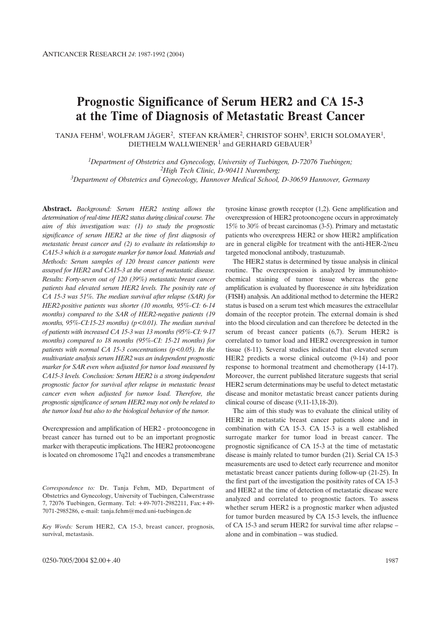# **Prognostic Significance of Serum HER2 and CA 15-3 at the Time of Diagnosis of Metastatic Breast Cancer**

TANJA FEHM<sup>1</sup>, WOLFRAM JÄGER<sup>2</sup>, STEFAN KRÄMER<sup>2</sup>, CHRISTOF SOHN<sup>3</sup>, ERICH SOLOMAYER<sup>1</sup>, DIETHELM WALLWIENER<sup>1</sup> and GERHARD GEBAUER<sup>3</sup>

*1Department of Obstetrics and Gynecology, University of Tuebingen, D-72076 Tuebingen; 2High Tech Clinic, D-90411 Nuremberg; 3Department of Obstetrics and Gynecology, Hannover Medical School, D-30659 Hannover, Germany*

**Abstract.** *Background: Serum HER2 testing allows the determination of real-time HER2 status during clinical course. The aim of this investigation was: (1) to study the prognostic significance of serum HER2 at the time of first diagnosis of metastatic breast cancer and (2) to evaluate its relationship to CA15-3 which is a surrogate marker for tumor load. Materials and Methods: Serum samples of 120 breast cancer patients were assayed for HER2 and CA15-3 at the onset of metastatic disease. Results: Forty-seven out of 120 (39%) metastatic breast cancer patients had elevated serum HER2 levels. The positvity rate of CA 15-3 was 51%. The median survival after relapse (SAR) for HER2-positive patients was shorter (10 months, 95%-CI: 6-14 months) compared to the SAR of HER2-negative patients (19 months, 95%-CI:15-23 months) (p<0.01). The median survival of patients with increased CA 15-3 was 13 months (95%-CI: 9-17 months) compared to 18 months (95%-CI: 15-21 months) for patients with normal CA 15-3 concentrations (p<0.05). In the multivariate analysis serum HER2 was an independent prognostic marker for SAR even when adjusted for tumor load measured by CA15-3 levels. Conclusion: Serum HER2 is a strong independent prognostic factor for survival after relapse in metastatic breast cancer even when adjusted for tumor load. Therefore, the prognostic significance of serum HER2 may not only be related to the tumor load but also to the biological behavior of the tumor.* 

Overexpression and amplification of HER2 - protooncogene in breast cancer has turned out to be an important prognostic marker with therapeutic implications. The HER2 protooncogene is located on chromosome 17q21 and encodes a transmembrane

*Correspondence to:* Dr. Tanja Fehm, MD, Department of Obstetrics and Gynecology, University of Tuebingen, Calwerstrasse 7, 72076 Tuebingen, Germany. Tel: +49-7071-2982211, Fax:+49- 7071-2985286, e-mail: tanja.fehm@med.uni-tuebingen.de

*Key Words:* Serum HER2, CA 15-3, breast cancer, prognosis, survival, metastasis.

tyrosine kinase growth receptor (1,2). Gene amplification and overexpression of HER2 protooncogene occurs in approximately 15% to 30% of breast carcinomas (3-5). Primary and metastatic patients who overexpress HER2 or show HER2 amplification are in general eligible for treatment with the anti-HER-2/neu targeted monoclonal antibody, trastuzumab.

The HER2 status is determined by tissue analysis in clinical routine. The overexpression is analyzed by immunohistochemical staining of tumor tissue whereas the gene amplification is evaluated by fluorescence *in situ* hybridization (FISH) analysis. An additional method to determine the HER2 status is based on a serum test which measures the extracellular domain of the receptor protein. The external domain is shed into the blood circulation and can therefore be detected in the serum of breast cancer patients (6,7). Serum HER2 is correlated to tumor load and HER2 overexpression in tumor tissue (8-11). Several studies indicated that elevated serum HER2 predicts a worse clinical outcome (9-14) and poor response to hormonal treatment and chemotherapy (14-17). Moreover, the current published literature suggests that serial HER2 serum determinations may be useful to detect metastatic disease and monitor metastatic breast cancer patients during clinical course of disease (9,11-13,18-20).

The aim of this study was to evaluate the clinical utility of HER2 in metastatic breast cancer patients alone and in combination with CA 15-3. CA 15-3 is a well established surrogate marker for tumor load in breast cancer. The prognostic significance of CA 15-3 at the time of metastatic disease is mainly related to tumor burden (21). Serial CA 15-3 measurements are used to detect early recurrence and monitor metastatic breast cancer patients during follow-up (21-25). In the first part of the investigation the positivity rates of CA 15-3 and HER2 at the time of detection of metastatic disease were analyzed and correlated to prognostic factors. To assess whether serum HER2 is a prognostic marker when adjusted for tumor burden measured by CA 15-3 levels, the influence of CA 15-3 and serum HER2 for survival time after relapse – alone and in combination – was studied.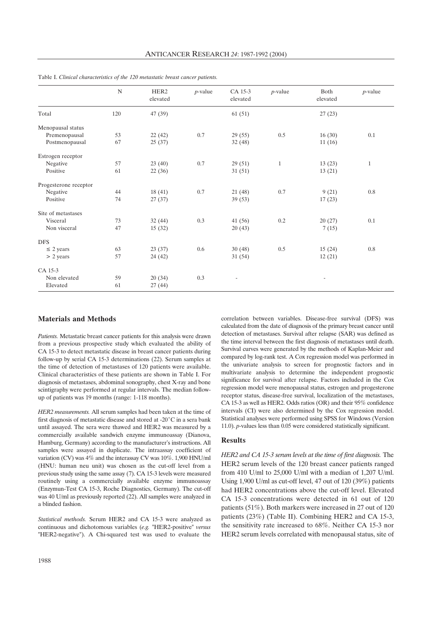|                       | $\mathbf N$ | HER <sub>2</sub><br>elevated | $p$ -value | CA 15-3<br>elevated      | $p$ -value   | Both<br>elevated | $p$ -value   |
|-----------------------|-------------|------------------------------|------------|--------------------------|--------------|------------------|--------------|
| Total                 | 120         | 47(39)                       |            | 61(51)                   |              | 27(23)           |              |
| Menopausal status     |             |                              |            |                          |              |                  |              |
| Premenopausal         | 53          | 22(42)                       | 0.7        | 29(55)                   | 0.5          | 16(30)           | 0.1          |
| Postmenopausal        | 67          | 25(37)                       |            | 32 (48)                  |              | 11(16)           |              |
| Estrogen receptor     |             |                              |            |                          |              |                  |              |
| Negative              | 57          | 23(40)                       | 0.7        | 29(51)                   | $\mathbf{1}$ | 13(23)           | $\mathbf{1}$ |
| Positive              | 61          | 22(36)                       |            | 31(51)                   |              | 13(21)           |              |
| Progesterone receptor |             |                              |            |                          |              |                  |              |
| Negative              | 44          | 18(41)                       | 0.7        | 21(48)                   | 0.7          | 9(21)            | 0.8          |
| Positive              | 74          | 27(37)                       |            | 39(53)                   |              | 17(23)           |              |
| Site of metastases    |             |                              |            |                          |              |                  |              |
| Visceral              | 73          | 32(44)                       | 0.3        | 41(56)                   | 0.2          | 20(27)           | 0.1          |
| Non visceral          | 47          | 15(32)                       |            | 20(43)                   |              | 7(15)            |              |
| <b>DFS</b>            |             |                              |            |                          |              |                  |              |
| $\leq$ 2 years        | 63          | 23(37)                       | 0.6        | 30(48)                   | 0.5          | 15(24)           | 0.8          |
| $> 2$ years           | 57          | 24(42)                       |            | 31(54)                   |              | 12(21)           |              |
| CA 15-3               |             |                              |            |                          |              |                  |              |
| Non elevated          | 59          | 20(34)                       | 0.3        | $\overline{\phantom{m}}$ |              |                  |              |
| Elevated              | 61          | 27(44)                       |            |                          |              |                  |              |

Table I. *Clinical characteristics of the 120 metastatic breast cancer patients.*

## **Materials and Methods**

*Patients.* Metastatic breast cancer patients for this analysis were drawn from a previous prospective study which evaluated the ability of CA 15-3 to detect metastatic disease in breast cancer patients during follow-up by serial CA 15-3 determinations (22). Serum samples at the time of detection of metastases of 120 patients were available. Clinical characteristics of these patients are shown in Table I. For diagnosis of metastases, abdominal sonography, chest X-ray and bone scintigraphy were performed at regular intervals. The median followup of patients was 19 months (range: 1-118 months).

*HER2 measurements.* All serum samples had been taken at the time of first diagnosis of metastatic disease and stored at -20 $^{\circ}$ C in a sera bank until assayed. The sera were thawed and HER2 was measured by a commercially available sandwich enzyme immunoassay (Dianova, Hamburg, Germany) according to the manufacturer's instructions. All samples were assayed in duplicate. The intraassay coefficient of variation (CV) was 4% and the interassay CV was 10%. 1,900 HNU/ml (HNU: human neu unit) was chosen as the cut-off level from a previous study using the same assay (7). CA 15-3 levels were measured routinely using a commercially available enzyme immunoassay (Enzymun-Test CA 15-3, Roche Diagnostics, Germany). The cut-off was 40 U/ml as previously reported (22). All samples were analyzed in a blinded fashion.

*Statistical methods.* Serum HER2 and CA 15-3 were analyzed as continuous and dichotomous variables (*e.g.* "HER2-positive" *versus* "HER2-negative"). A Chi-squared test was used to evaluate the

correlation between variables. Disease-free survival (DFS) was calculated from the date of diagnosis of the primary breast cancer until detection of metastases. Survival after relapse (SAR) was defined as the time interval between the first diagnosis of metastases until death. Survival curves were generated by the methods of Kaplan-Meier and compared by log-rank test. A Cox regression model was performed in the univariate analysis to screen for prognostic factors and in multivariate analysis to determine the independent prognostic significance for survival after relapse. Factors included in the Cox regression model were menopausal status, estrogen and progesterone receptor status, disease-free survival, localization of the metastases, CA 15-3 as well as HER2. Odds ratios (OR) and their 95% confidence intervals (CI) were also determined by the Cox regression model. Statistical analyses were performed using SPSS for Windows (Version 11.0). *p-*values less than 0.05 were considered statistically significant.

## **Results**

*HER2 and CA 15-3 serum levels at the time of first diagnosis.* The HER2 serum levels of the 120 breast cancer patients ranged from 410 U/ml to 25,000 U/ml with a median of 1,207 U/ml. Using 1,900 U/ml as cut-off level, 47 out of 120 (39%) patients had HER2 concentrations above the cut-off level. Elevated CA 15-3 concentrations were detected in 61 out of 120 patients (51%). Both markers were increased in 27 out of 120 patients (23%) (Table II). Combining HER2 and CA 15-3, the sensitivity rate increased to 68%. Neither CA 15-3 nor HER2 serum levels correlated with menopausal status, site of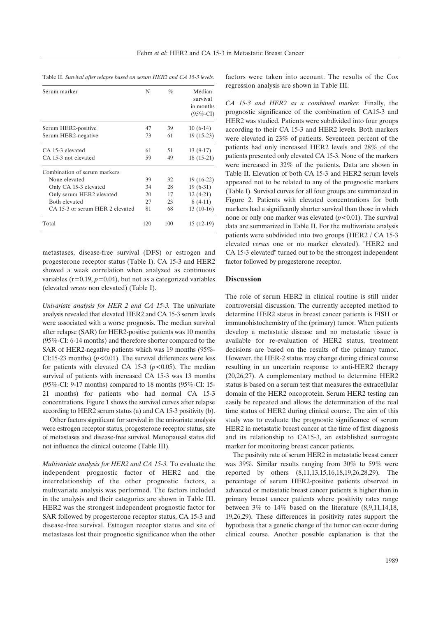|  | Table II. Survival after relapse based on serum HER2 and CA 15-3 levels. |
|--|--------------------------------------------------------------------------|
|--|--------------------------------------------------------------------------|

| Serum marker                    | N   | $\%$ | Median<br>survival<br>in months<br>$(95\% - CI)$ |
|---------------------------------|-----|------|--------------------------------------------------|
| Serum HER2-positive             | 47  | 39   | $10(6-14)$                                       |
| Serum HER2-negative             | 73  | 61   | 19 (15-23)                                       |
| CA 15-3 elevated                | 61  | 51   | $13(9-17)$                                       |
| CA 15-3 not elevated            | 59  | 49   | $18(15-21)$                                      |
| Combination of serum markers    |     |      |                                                  |
| None elevated                   | 39  | 32   | $19(16-22)$                                      |
| Only CA 15-3 elevated           | 34  | 28   | $19(6-31)$                                       |
| Only serum HER2 elevated        | 20  | 17   | $12(4-21)$                                       |
| Both elevated                   | 27  | 23   | $8(4-11)$                                        |
| CA 15-3 or serum HER 2 elevated | 81  | 68   | $13(10-16)$                                      |
| Total                           | 120 | 100  | $15(12-19)$                                      |

metastases, disease-free survival (DFS) or estrogen and progesterone receptor status (Table I). CA 15-3 and HER2 showed a weak correlation when analyzed as continuous variables  $(r=0.19, p=0.04)$ , but not as a categorized variables (elevated *versus* non elevated) (Table I).

*Univariate analysis for HER 2 and CA 15-3.* The univariate analysis revealed that elevated HER2 and CA 15-3 serum levels were associated with a worse prognosis. The median survival after relapse (SAR) for HER2-positive patients was 10 months (95%-CI: 6-14 months) and therefore shorter compared to the SAR of HER2-negative patients which was 19 months (95%- CI:15-23 months)  $(p<0.01)$ . The survival differences were less for patients with elevated CA 15-3 (*p<*0.05). The median survival of patients with increased CA 15-3 was 13 months (95%-CI: 9-17 months) compared to 18 months (95%-CI: 15- 21 months) for patients who had normal CA 15-3 concentrations. Figure 1 shows the survival curves after relapse according to HER2 serum status (a) and CA 15-3 positivity (b).

Other factors significant for survival in the univariate analysis were estrogen receptor status, progesterone receptor status, site of metastases and disease-free survival. Menopausal status did not influence the clinical outcome (Table III).

*Multivariate analysis for HER2 and CA 15-3.* To evaluate the independent prognostic factor of HER2 and the interrelationship of the other prognostic factors, a multivariate analysis was performed. The factors included in the analysis and their categories are shown in Table III. HER2 was the strongest independent prognostic factor for SAR followed by progesterone receptor status, CA 15-3 and disease-free survival. Estrogen receptor status and site of metastases lost their prognostic significance when the other factors were taken into account. The results of the Cox regression analysis are shown in Table III.

*CA 15-3 and HER2 as a combined marker.* Finally, the prognostic significance of the combination of CA15-3 and HER2 was studied. Patients were subdivided into four groups according to their CA 15-3 and HER2 levels. Both markers were elevated in 23% of patients. Seventeen percent of the patients had only increased HER2 levels and 28% of the patients presented only elevated CA 15-3. None of the markers were increased in 32% of the patients. Data are shown in Table II. Elevation of both CA 15-3 and HER2 serum levels appeared not to be related to any of the prognostic markers (Table I). Survival curves for all four groups are summarized in Figure 2. Patients with elevated concentrations for both markers had a significantly shorter survival than those in which none or only one marker was elevated (*p<*0.01). The survival data are summarized in Table II. For the multivariate analysis patients were subdivided into two groups (HER2 / CA 15-3 elevated *versus* one or no marker elevated). "HER2 and CA 15-3 elevated" turned out to be the strongest independent factor followed by progesterone receptor.

## **Discussion**

The role of serum HER2 in clinical routine is still under controversial discussion. The currently accepted method to determine HER2 status in breast cancer patients is FISH or immunohistochemistry of the (primary) tumor. When patients develop a metastatic disease and no metastatic tissue is available for re-evaluation of HER2 status, treatment decisions are based on the results of the primary tumor. However, the HER-2 status may change during clinical course resulting in an uncertain response to anti-HER2 therapy (20,26,27). A complementary method to determine HER2 status is based on a serum test that measures the extracellular domain of the HER2 oncoprotein. Serum HER2 testing can easily be repeated and allows the determination of the real time status of HER2 during clinical course. The aim of this study was to evaluate the prognostic significance of serum HER2 in metastatic breast cancer at the time of first diagnosis and its relationship to CA15-3, an established surrogate marker for monitoring breast cancer patients.

The positvity rate of serum HER2 in metastatic breast cancer was 39%. Similar results ranging from 30% to 59% were reported by others (8,11,13,15,16,18,19,26,28,29). The percentage of serum HER2-positive patients observed in advanced or metastatic breast cancer patients is higher than in primary breast cancer patients where positivity rates range between 3% to 14% based on the literature (8,9,11,14,18, 19,26,29). These differences in positivity rates support the hypothesis that a genetic change of the tumor can occur during clinical course. Another possible explanation is that the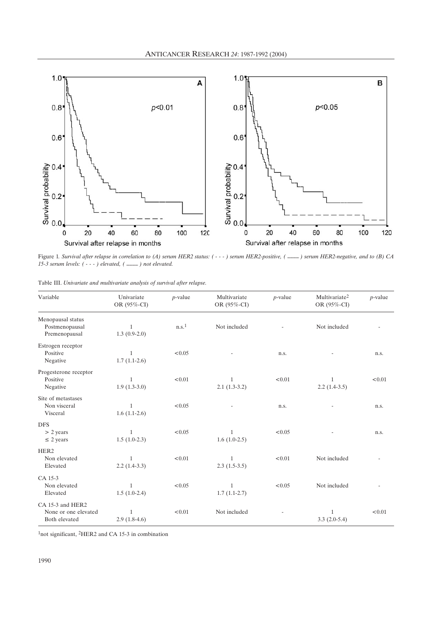

Figure 1*. Survival after relapse in correlation to (A) serum HER2 status: ( - - - ) serum HER2-positive, ( \_\_\_\_ ) serum HER2-negative, and to (B) CA 15-3 serum levels: ( - - - ) elevated, ( \_\_\_\_ ) not elevated.*

|  |  |  | Table III. Univariate and multivariate analysis of survival after relapse. |  |  |  |  |  |
|--|--|--|----------------------------------------------------------------------------|--|--|--|--|--|
|--|--|--|----------------------------------------------------------------------------|--|--|--|--|--|

| Variable                                                  | Univariate<br>OR (95%-CI)      | $p$ -value        | Multivariate<br>OR (95%-CI)    | $p$ -value | Multivariate <sup>2</sup><br>OR (95%-CI) | $p$ -value |
|-----------------------------------------------------------|--------------------------------|-------------------|--------------------------------|------------|------------------------------------------|------------|
| Menopausal status<br>Postmenopausal<br>Premenopausal      | 1<br>$1.3(0.9-2.0)$            | n.s. <sup>1</sup> | Not included                   |            | Not included                             |            |
| Estrogen receptor<br>Positive<br>Negative                 | 1<br>$1.7(1.1-2.6)$            | < 0.05            |                                | n.s.       |                                          | n.s.       |
| Progesterone receptor<br>Positive<br>Negative             | $\mathbf{1}$<br>$1.9(1.3-3.0)$ | < 0.01            | $\mathbf{1}$<br>$2.1(1.3-3.2)$ | < 0.01     | 1<br>$2.2(1.4-3.5)$                      | < 0.01     |
| Site of metastases<br>Non visceral<br>Visceral            | $\mathbf{1}$<br>$1.6(1.1-2.6)$ | < 0.05            |                                | n.s.       |                                          | n.s.       |
| <b>DFS</b><br>$> 2$ years<br>$\leq$ 2 years               | 1<br>$1.5(1.0-2.3)$            | < 0.05            | 1<br>$1.6(1.0-2.5)$            | < 0.05     |                                          | n.s.       |
| HER <sub>2</sub><br>Non elevated<br>Elevated              | 1<br>$2.2(1.4-3.3)$            | < 0.01            | $2.3(1.5-3.5)$                 | < 0.01     | Not included                             |            |
| CA 15-3<br>Non elevated<br>Elevated                       | $\mathbf{1}$<br>$1.5(1.0-2.4)$ | < 0.05            | $\mathbf{1}$<br>$1.7(1.1-2.7)$ | < 0.05     | Not included                             |            |
| CA 15-3 and HER2<br>None or one elevated<br>Both elevated | 1<br>$2.9(1.8-4.6)$            | < 0.01            | Not included                   |            | 1<br>$3.3(2.0-5.4)$                      | < 0.01     |

1not significant, 2HER2 and CA 15-3 in combination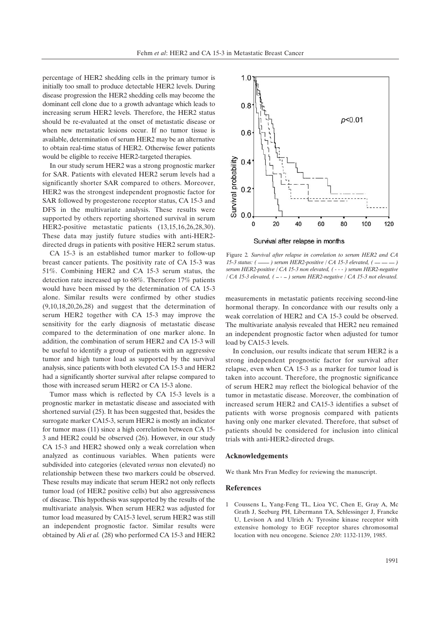percentage of HER2 shedding cells in the primary tumor is initially too small to produce detectable HER2 levels. During disease progression the HER2 shedding cells may become the dominant cell clone due to a growth advantage which leads to increasing serum HER2 levels. Therefore, the HER2 status should be re-evaluated at the onset of metastatic disease or when new metastatic lesions occur. If no tumor tissue is available, determination of serum HER2 may be an alternative to obtain real-time status of HER2. Otherwise fewer patients would be eligible to receive HER2-targeted therapies.

In our study serum HER2 was a strong prognostic marker for SAR. Patients with elevated HER2 serum levels had a significantly shorter SAR compared to others. Moreover, HER2 was the strongest independent prognostic factor for SAR followed by progesterone receptor status, CA 15-3 and DFS in the multivariate analysis. These results were supported by others reporting shortened survival in serum HER2-positive metastatic patients (13,15,16,26,28,30). These data may justify future studies with anti-HER2 directed drugs in patients with positive HER2 serum status.

CA 15-3 is an established tumor marker to follow-up breast cancer patients. The positivity rate of CA 15-3 was 51%. Combining HER2 and CA 15-3 serum status, the detection rate increased up to 68%. Therefore 17% patients would have been missed by the determination of CA 15-3 alone. Similar results were confirmed by other studies (9,10,18,20,26,28) and suggest that the determination of serum HER2 together with CA 15-3 may improve the sensitivity for the early diagnosis of metastatic disease compared to the determination of one marker alone. In addition, the combination of serum HER2 and CA 15-3 will be useful to identify a group of patients with an aggressive tumor and high tumor load as supported by the survival analysis, since patients with both elevated CA 15-3 and HER2 had a significantly shorter survival after relapse compared to those with increased serum HER2 or CA 15-3 alone.

Tumor mass which is reflected by CA 15-3 levels is a prognostic marker in metastatic disease and associated with shortened survial (25). It has been suggested that, besides the surrogate marker CA15-3, serum HER2 is mostly an indicator for tumor mass (11) since a high correlation between CA 15- 3 and HER2 could be observed (26). However, in our study CA 15-3 and HER2 showed only a weak correlation when analyzed as continuous variables. When patients were subdivided into categories (elevated *versus* non elevated) no relationship between these two markers could be observed. These results may indicate that serum HER2 not only reflects tumor load (of HER2 positive cells) but also aggressiveness of disease. This hypothesis was supported by the results of the multivariate analysis. When serum HER2 was adjusted for tumor load measured by CA15-3 level, serum HER2 was still an independent prognostic factor. Similar results were obtained by Ali *et al.* (28) who performed CA 15-3 and HER2



Figure 2*. Survival after relapse in correlation to serum HER2 and CA 15-3 status: ( \_\_\_\_ ) serum HER2-positive / CA 15-3 elevated, ( \_\_ \_\_ \_\_ ) serum HER2-positive / CA 15-3 non elevated, ( - - - ) serum HER2-negative / CA 15-3 elevated, ( \_ - \_ ) serum HER2-negative / CA 15-3 not elevated.*

measurements in metastatic patients receiving second-line hormonal therapy. In concordance with our results only a weak correlation of HER2 and CA 15-3 could be observed. The multivariate analysis revealed that HER2 neu remained an independent prognostic factor when adjusted for tumor load by CA15-3 levels.

In conclusion, our results indicate that serum HER2 is a strong independent prognostic factor for survival after relapse, even when CA 15-3 as a marker for tumor load is taken into account. Therefore, the prognostic significance of serum HER2 may reflect the biological behavior of the tumor in metastatic disease. Moreover, the combination of increased serum HER2 and CA15-3 identifies a subset of patients with worse prognosis compared with patients having only one marker elevated. Therefore, that subset of patients should be considered for inclusion into clinical trials with anti-HER2-directed drugs.

#### **Acknowledgements**

We thank Mrs Fran Medley for reviewing the manuscript.

#### **References**

1 Coussens L, Yang-Feng TL, Lioa YC, Chen E, Gray A, Mc Grath J, Seeburg PH, Libermann TA, Schlessinger J, Francke U, Levison A and Ulrich A: Tyrosine kinase receptor with extensive homology to EGF receptor shares chromosomal location with neu oncogene. Science *230*: 1132-1139, 1985.